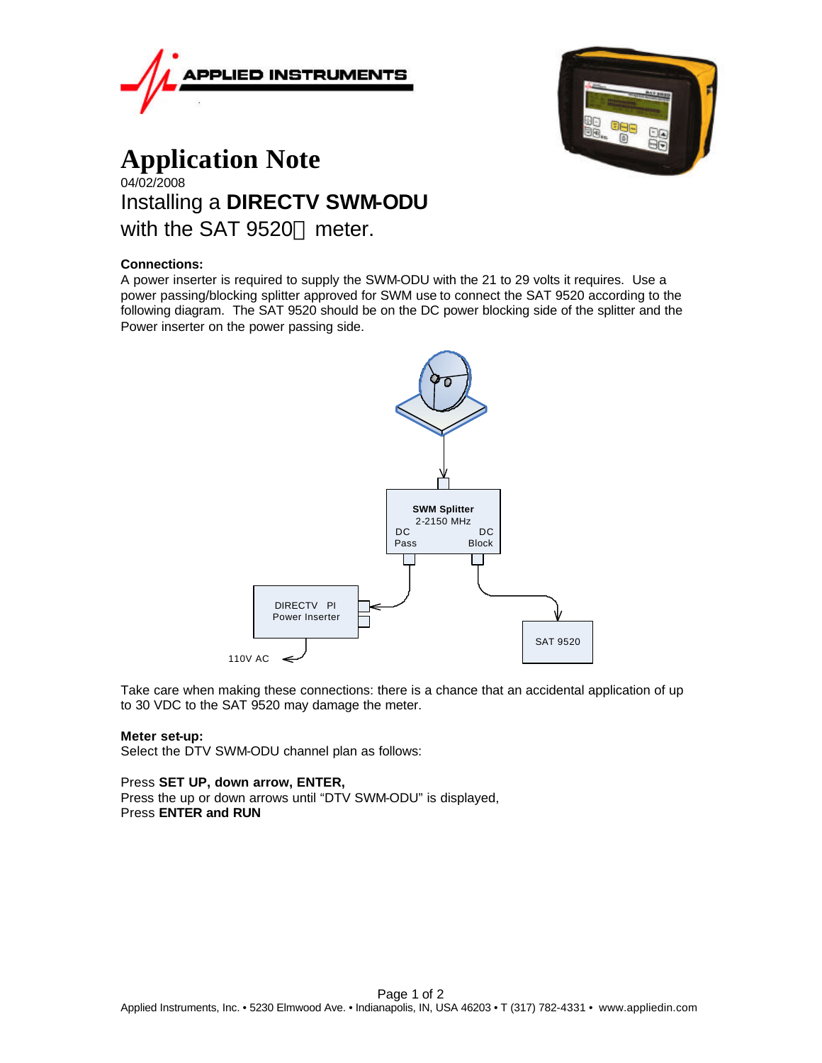



# **Application Note** 04/02/2008 Installing a **DIRECTV SWM-ODU**  with the SAT  $9520^{\text{TM}}$  meter.

# **Connections:**

A power inserter is required to supply the SWM-ODU with the 21 to 29 volts it requires. Use a power passing/blocking splitter approved for SWM use to connect the SAT 9520 according to the following diagram. The SAT 9520 should be on the DC power blocking side of the splitter and the Power inserter on the power passing side.



Take care when making these connections: there is a chance that an accidental application of up to 30 VDC to the SAT 9520 may damage the meter.

#### **Meter set-up:**

Select the DTV SWM-ODU channel plan as follows:

#### Press **SET UP, down arrow, ENTER,**

Press the up or down arrows until "DTV SWM-ODU" is displayed, Press **ENTER and RUN**